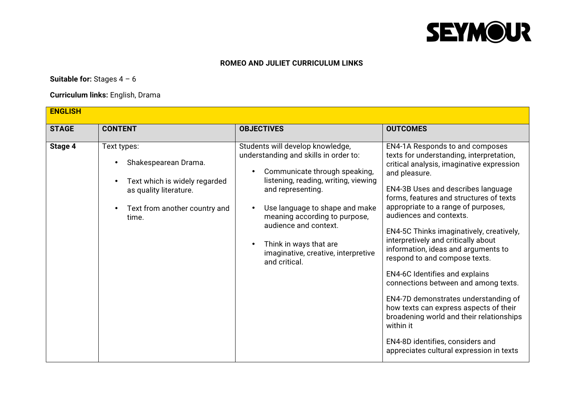

#### **ROMEO AND JULIET CURRICULUM LINKS**

### **Suitable for:** Stages 4 – 6

### **Curriculum links:** English, Drama

| <b>ENGLISH</b> |                                                                                                                                          |                                                                                                                                                                                                                                                                                                                                                       |                                                                                                                                                                                                                                                                                                                                                                                                                                                                                                                                                                                                                                                                                                                                                                     |
|----------------|------------------------------------------------------------------------------------------------------------------------------------------|-------------------------------------------------------------------------------------------------------------------------------------------------------------------------------------------------------------------------------------------------------------------------------------------------------------------------------------------------------|---------------------------------------------------------------------------------------------------------------------------------------------------------------------------------------------------------------------------------------------------------------------------------------------------------------------------------------------------------------------------------------------------------------------------------------------------------------------------------------------------------------------------------------------------------------------------------------------------------------------------------------------------------------------------------------------------------------------------------------------------------------------|
| <b>STAGE</b>   | <b>CONTENT</b>                                                                                                                           | <b>OBJECTIVES</b>                                                                                                                                                                                                                                                                                                                                     | <b>OUTCOMES</b>                                                                                                                                                                                                                                                                                                                                                                                                                                                                                                                                                                                                                                                                                                                                                     |
| Stage 4        | Text types:<br>Shakespearean Drama.<br>Text which is widely regarded<br>as quality literature.<br>Text from another country and<br>time. | Students will develop knowledge,<br>understanding and skills in order to:<br>Communicate through speaking,<br>listening, reading, writing, viewing<br>and representing.<br>Use language to shape and make<br>meaning according to purpose,<br>audience and context.<br>Think in ways that are<br>imaginative, creative, interpretive<br>and critical. | EN4-1A Responds to and composes<br>texts for understanding, interpretation,<br>critical analysis, imaginative expression<br>and pleasure.<br>EN4-3B Uses and describes language<br>forms, features and structures of texts<br>appropriate to a range of purposes,<br>audiences and contexts.<br>EN4-5C Thinks imaginatively, creatively,<br>interpretively and critically about<br>information, ideas and arguments to<br>respond to and compose texts.<br><b>EN4-6C Identifies and explains</b><br>connections between and among texts.<br>EN4-7D demonstrates understanding of<br>how texts can express aspects of their<br>broadening world and their relationships<br>within it<br>EN4-8D identifies, considers and<br>appreciates cultural expression in texts |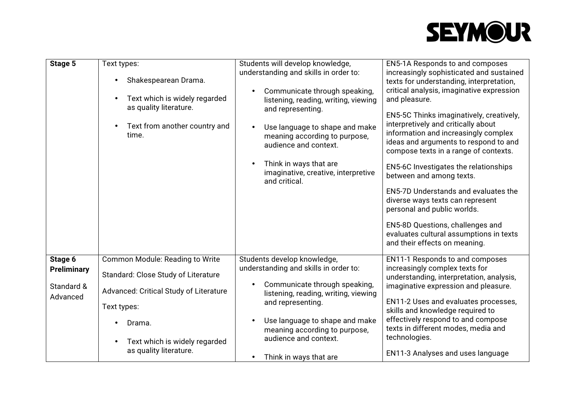## **SEYMOUR**

| Stage 5                                                 | Text types:<br>Shakespearean Drama.<br>Text which is widely regarded<br>as quality literature.<br>Text from another country and<br>time.                                                             | Students will develop knowledge,<br>understanding and skills in order to:<br>Communicate through speaking,<br>listening, reading, writing, viewing<br>and representing.<br>Use language to shape and make<br>meaning according to purpose,<br>audience and context.<br>Think in ways that are<br>imaginative, creative, interpretive<br>and critical. | EN5-1A Responds to and composes<br>increasingly sophisticated and sustained<br>texts for understanding, interpretation,<br>critical analysis, imaginative expression<br>and pleasure.<br>EN5-5C Thinks imaginatively, creatively,<br>interpretively and critically about<br>information and increasingly complex<br>ideas and arguments to respond to and<br>compose texts in a range of contexts.<br>EN5-6C Investigates the relationships<br>between and among texts.<br><b>EN5-7D Understands and evaluates the</b> |
|---------------------------------------------------------|------------------------------------------------------------------------------------------------------------------------------------------------------------------------------------------------------|-------------------------------------------------------------------------------------------------------------------------------------------------------------------------------------------------------------------------------------------------------------------------------------------------------------------------------------------------------|------------------------------------------------------------------------------------------------------------------------------------------------------------------------------------------------------------------------------------------------------------------------------------------------------------------------------------------------------------------------------------------------------------------------------------------------------------------------------------------------------------------------|
|                                                         |                                                                                                                                                                                                      |                                                                                                                                                                                                                                                                                                                                                       | diverse ways texts can represent<br>personal and public worlds.<br>EN5-8D Questions, challenges and<br>evaluates cultural assumptions in texts<br>and their effects on meaning.                                                                                                                                                                                                                                                                                                                                        |
| Stage 6<br><b>Preliminary</b><br>Standard &<br>Advanced | Common Module: Reading to Write<br>Standard: Close Study of Literature<br>Advanced: Critical Study of Literature<br>Text types:<br>Drama.<br>Text which is widely regarded<br>as quality literature. | Students develop knowledge,<br>understanding and skills in order to:<br>Communicate through speaking,<br>$\bullet$<br>listening, reading, writing, viewing<br>and representing.<br>Use language to shape and make<br>meaning according to purpose,<br>audience and context.<br>Think in ways that are<br>$\bullet$                                    | EN11-1 Responds to and composes<br>increasingly complex texts for<br>understanding, interpretation, analysis,<br>imaginative expression and pleasure.<br>EN11-2 Uses and evaluates processes,<br>skills and knowledge required to<br>effectively respond to and compose<br>texts in different modes, media and<br>technologies.<br><b>EN11-3 Analyses and uses language</b>                                                                                                                                            |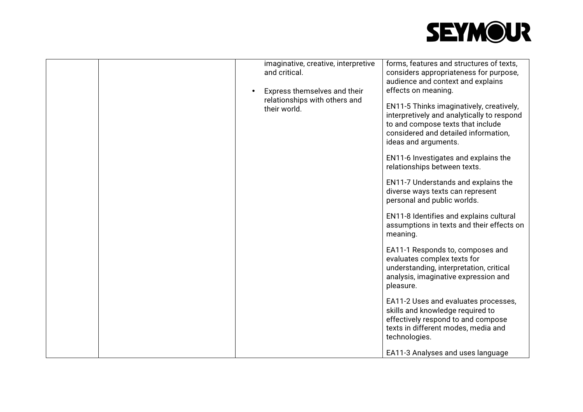# **SEYMOUR**

|  | imaginative, creative, interpretive | forms, features and structures of texts,                                                                                                                                                    |
|--|-------------------------------------|---------------------------------------------------------------------------------------------------------------------------------------------------------------------------------------------|
|  | and critical.                       | considers appropriateness for purpose,                                                                                                                                                      |
|  |                                     | audience and context and explains                                                                                                                                                           |
|  | Express themselves and their        | effects on meaning.                                                                                                                                                                         |
|  | relationships with others and       |                                                                                                                                                                                             |
|  | their world.                        | EN11-5 Thinks imaginatively, creatively,<br>interpretively and analytically to respond<br>to and compose texts that include<br>considered and detailed information,<br>ideas and arguments. |
|  |                                     | EN11-6 Investigates and explains the<br>relationships between texts.                                                                                                                        |
|  |                                     | EN11-7 Understands and explains the<br>diverse ways texts can represent<br>personal and public worlds.                                                                                      |
|  |                                     | EN11-8 Identifies and explains cultural<br>assumptions in texts and their effects on<br>meaning.                                                                                            |
|  |                                     | EA11-1 Responds to, composes and<br>evaluates complex texts for<br>understanding, interpretation, critical<br>analysis, imaginative expression and<br>pleasure.                             |
|  |                                     | EA11-2 Uses and evaluates processes,<br>skills and knowledge required to<br>effectively respond to and compose<br>texts in different modes, media and<br>technologies.                      |
|  |                                     | EA11-3 Analyses and uses language                                                                                                                                                           |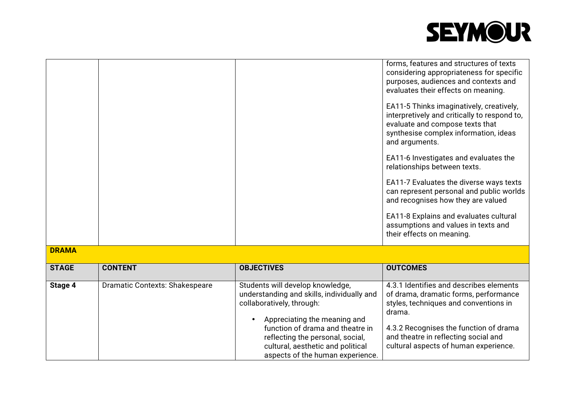

cultural aspects of human experience.

|              |                                       |                                                                                                                                                                                                                     | forms, features and structures of texts<br>considering appropriateness for specific<br>purposes, audiences and contexts and<br>evaluates their effects on meaning.<br>EA11-5 Thinks imaginatively, creatively,<br>interpretively and critically to respond to,<br>evaluate and compose texts that<br>synthesise complex information, ideas<br>and arguments. |
|--------------|---------------------------------------|---------------------------------------------------------------------------------------------------------------------------------------------------------------------------------------------------------------------|--------------------------------------------------------------------------------------------------------------------------------------------------------------------------------------------------------------------------------------------------------------------------------------------------------------------------------------------------------------|
|              |                                       |                                                                                                                                                                                                                     | EA11-6 Investigates and evaluates the<br>relationships between texts.                                                                                                                                                                                                                                                                                        |
|              |                                       |                                                                                                                                                                                                                     | EA11-7 Evaluates the diverse ways texts<br>can represent personal and public worlds<br>and recognises how they are valued                                                                                                                                                                                                                                    |
|              |                                       |                                                                                                                                                                                                                     | EA11-8 Explains and evaluates cultural<br>assumptions and values in texts and<br>their effects on meaning.                                                                                                                                                                                                                                                   |
| <b>DRAMA</b> |                                       |                                                                                                                                                                                                                     |                                                                                                                                                                                                                                                                                                                                                              |
| <b>STAGE</b> | <b>CONTENT</b>                        | <b>OBJECTIVES</b>                                                                                                                                                                                                   | <b>OUTCOMES</b>                                                                                                                                                                                                                                                                                                                                              |
| Stage 4      | <b>Dramatic Contexts: Shakespeare</b> | Students will develop knowledge,<br>understanding and skills, individually and<br>collaboratively, through:<br>Appreciating the meaning and<br>function of drama and theatre in<br>reflecting the personal, social, | 4.3.1 Identifies and describes elements<br>of drama, dramatic forms, performance<br>styles, techniques and conventions in<br>drama.<br>4.3.2 Recognises the function of drama<br>and theatre in reflecting social and                                                                                                                                        |

cultural, aesthetic and political aspects of the human experience.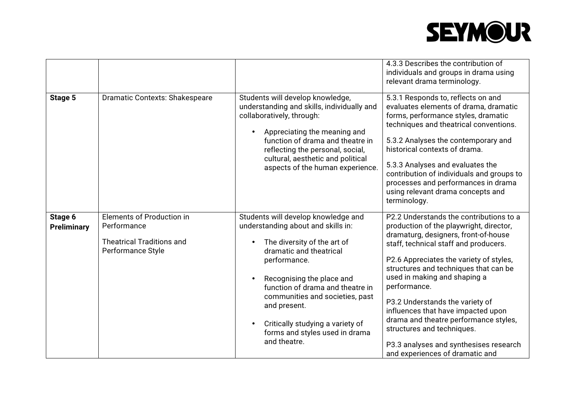# **SEYMOUR**

|                               |                                                                                                   |                                                                                                                                                                                                                                                                                                                                                               | 4.3.3 Describes the contribution of<br>individuals and groups in drama using<br>relevant drama terminology.                                                                                                                                                                                                                                                                                                                                                                                                                          |
|-------------------------------|---------------------------------------------------------------------------------------------------|---------------------------------------------------------------------------------------------------------------------------------------------------------------------------------------------------------------------------------------------------------------------------------------------------------------------------------------------------------------|--------------------------------------------------------------------------------------------------------------------------------------------------------------------------------------------------------------------------------------------------------------------------------------------------------------------------------------------------------------------------------------------------------------------------------------------------------------------------------------------------------------------------------------|
| Stage 5                       | <b>Dramatic Contexts: Shakespeare</b>                                                             | Students will develop knowledge,<br>understanding and skills, individually and<br>collaboratively, through:<br>Appreciating the meaning and<br>$\bullet$<br>function of drama and theatre in<br>reflecting the personal, social,<br>cultural, aesthetic and political<br>aspects of the human experience.                                                     | 5.3.1 Responds to, reflects on and<br>evaluates elements of drama, dramatic<br>forms, performance styles, dramatic<br>techniques and theatrical conventions.<br>5.3.2 Analyses the contemporary and<br>historical contexts of drama.<br>5.3.3 Analyses and evaluates the<br>contribution of individuals and groups to<br>processes and performances in drama<br>using relevant drama concepts and<br>terminology.                                                                                                                    |
| Stage 6<br><b>Preliminary</b> | Elements of Production in<br>Performance<br><b>Theatrical Traditions and</b><br>Performance Style | Students will develop knowledge and<br>understanding about and skills in:<br>The diversity of the art of<br>dramatic and theatrical<br>performance.<br>Recognising the place and<br>function of drama and theatre in<br>communities and societies, past<br>and present.<br>Critically studying a variety of<br>forms and styles used in drama<br>and theatre. | P2.2 Understands the contributions to a<br>production of the playwright, director,<br>dramaturg, designers, front-of-house<br>staff, technical staff and producers.<br>P2.6 Appreciates the variety of styles,<br>structures and techniques that can be<br>used in making and shaping a<br>performance.<br>P3.2 Understands the variety of<br>influences that have impacted upon<br>drama and theatre performance styles,<br>structures and techniques.<br>P3.3 analyses and synthesises research<br>and experiences of dramatic and |